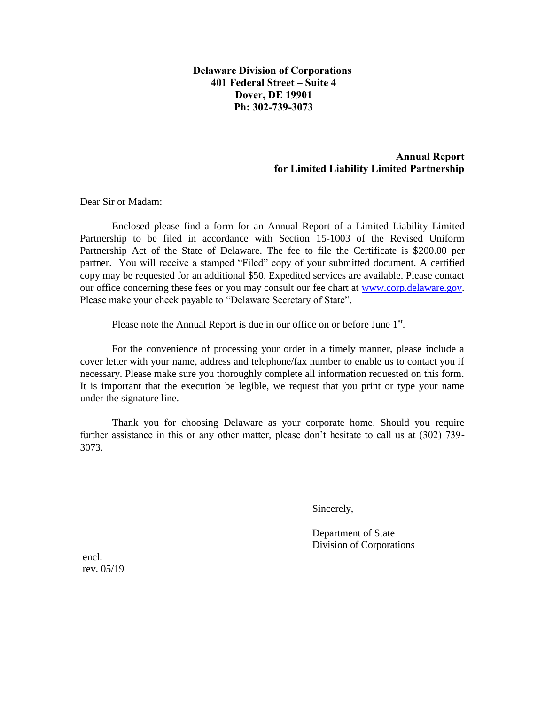**Delaware Division of Corporations 401 Federal Street – Suite 4 Dover, DE 19901 Ph: 302-739-3073** 

## **Annual Report for Limited Liability Limited Partnership**

Dear Sir or Madam:

Enclosed please find a form for an Annual Report of a Limited Liability Limited Partnership to be filed in accordance with Section 15-1003 of the Revised Uniform Partnership Act of the State of Delaware. The fee to file the Certificate is \$200.00 per partner. You will receive a stamped "Filed" copy of your submitted document. A certified copy may be requested for an additional \$50. Expedited services are available. Please contact our office concerning these fees or you may consult our fee chart at [www.corp.delaware.gov.](http://www.corp.delaware.gov/) Please make your check payable to "Delaware Secretary of State".

Please note the Annual Report is due in our office on or before June 1<sup>st</sup>.

For the convenience of processing your order in a timely manner, please include a cover letter with your name, address and telephone/fax number to enable us to contact you if necessary. Please make sure you thoroughly complete all information requested on this form. It is important that the execution be legible, we request that you print or type your name under the signature line.

Thank you for choosing Delaware as your corporate home. Should you require further assistance in this or any other matter, please don't hesitate to call us at (302) 739- 3073.

Sincerely,

Department of State Division of Corporations

 encl. rev. 05/19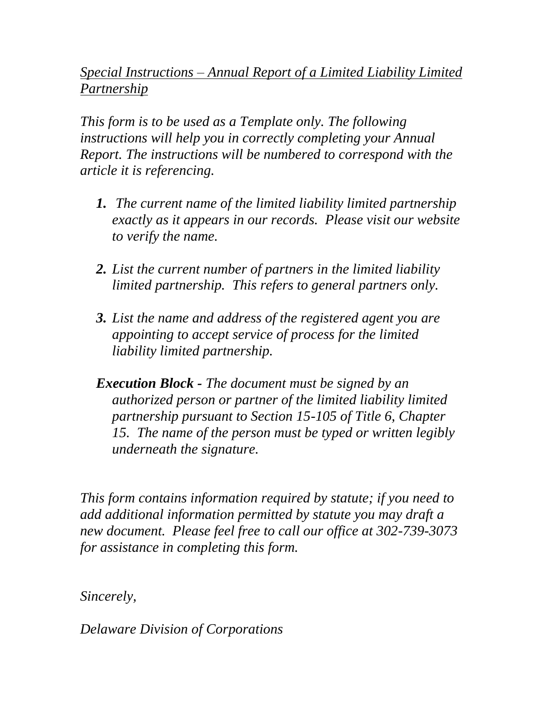## *Special Instructions – Annual Report of a Limited Liability Limited Partnership*

*This form is to be used as a Template only. The following instructions will help you in correctly completing your Annual Report. The instructions will be numbered to correspond with the article it is referencing.* 

- *1. The current name of the limited liability limited partnership exactly as it appears in our records. Please visit our website to verify the name.*
- *2. List the current number of partners in the limited liability limited partnership. This refers to general partners only.*
- *3. List the name and address of the registered agent you are appointing to accept service of process for the limited liability limited partnership.*

*Execution Block - The document must be signed by an authorized person or partner of the limited liability limited partnership pursuant to Section 15-105 of Title 6, Chapter 15. The name of the person must be typed or written legibly underneath the signature.* 

*This form contains information required by statute; if you need to add additional information permitted by statute you may draft a new document. Please feel free to call our office at 302-739-3073 for assistance in completing this form.* 

*Sincerely,* 

*Delaware Division of Corporations*